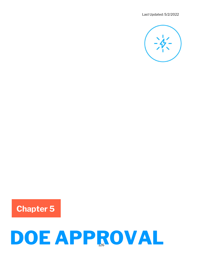Last Updated: 5/2/2022



Chapter 5

# DOE APPROVAL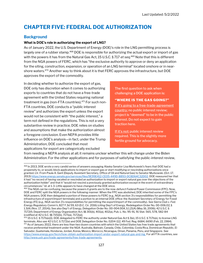# CHAPTER FIVE: FEDERAL DOE AUTHORIZATION

# **Background**

# What is DOE's role in authorizing the export of LNG?

As of January 2022, the U.S. Department of Energy (DOE)'s role in the LNG permitting process is largely one of a rubber stamp.<sup>468</sup> DOE is responsible for authorizing the actual export or import of gas with the powers it has from the Natural Gas Act, 15 U.S.C. § 717 et seq.<sup>469</sup> Note that this is different from the NGA powers of FERC, which has "the exclusive authority to approve or deny an application for the siting, construction, expansion, or operation of an LNG terminal" located onshore or in nearshore waters.<sup>470</sup> Another way to think about it is that FERC approves the infrastructure, but DOE approves the export of the commodity.

In deciding whether to authorize the export of gas, DOE only has discretion when it comes to authorizing exports to countries that do not have a free-trade agreement with the United States requiring national treatment in gas (non-FTA countries).<sup>471</sup> For such non-FTA countries, DOE conducts a "public interest review" and authorizes the export unless the export would not be consistent with "the public interest," a term not defined in the regulations. This is not a very substantive review in practice; DOE relies on studies and assumptions that make the authorization almost a foregone conclusion. Even NEPA provides little influence on DOE's analysis—in fact, under the Trump Administration, DOE concluded that most applications for export are categorically excluded

The first question to ask when challenging a DOE application is:

# "WHERE IS THE GAS GOING?"

If it's going to a free-trade-agreement country: no public interest review; project is "deemed" to be in the public interest. Do not expect to gain traction here.

If it's not: public interest review required. This is the slightly more fertile ground for advocacy.

from needing a NEPA analysis at all; it remains unclear whether this will change under the Biden Administration. For the other applications and for purposes of satisfying the public-interest review,

<sup>468</sup> In 2013, DOE wrote a very candid series of answers assuaging Alaska Senator Lisa Murkowski's fears that DOE had a propensity to, or would, block applications to import or export gas or start modifying or rescinding authorizations once granted. Ltr. From Paula A. Gant (Deputy Assistant Secretary, Office of Oil and Natural Gas) to Senator Murkowski. (Oct. 17, 2013) https://www.energy.senate.gov/services/files/9E99E412-CE05-449D-8893-DC8D64C32D02. DOE reassured her that it had "no record of having vacated or rescinded an authorization to import or export natural gas over the objections of the authorization holder" and that it "would not rescind a previously granted authorization except in the event of extraordinary circumstances." Id. at 1-3. Little appears to have changed at the DOE since.

<sup>469</sup> The NGA can be confusing, because the powers it grants are to the now-defunct Federal Power Commission (FPC). Now, DOE and FERC split the NGA powers in the following manner: When the FPC was abolished, DOE inherited some of the FPC's NGA powers. DOE then delegated a portion of these powers to FERC (e.g., NGA section 3's responsibilities for permitting the infrastructure of export/import terminals) and a portion to an internal DOE office: the Assistant Secretary of Energy for Fossil Energy (FE) (e.g., NGA section 3's responsibilities for permitting the export/import of the commodity). See Sierra Club v. Fed. Energy Regulatory Comm'n, 827 F.3d 59, 63 (D.C. Cir. 2016) (citing Dep't of Energy, Redelegation Order No. 00-006.02, § 1.3(A) (Nov. 17, 2014)); See also Dep't of Energy, Delegation Order No. 00-004.00A, § 1.21(A) (May 16, 2006); 42 U.S.C. § 7172(f); Department of Energy Organization Act, §§ 301(b), 401(a), 402(a), Pub. L. No. 95-91, 91 Stat. 565, 578, 582-84 (codified at 42 U.S.C. §§ 7151(b), 7171(a), 7172(a)).

<sup>470</sup> 15 U.S.C. § 717b(e)(1). DOE delegated to FERC the authority under Natural Gas Act § 3(e), 15 U.S.C. § 717b(e), to license LNG terminals. Also see 42 U.S.C. § 7172(e) and DOE Delegation Order No. 0204-112, 49 Fed. Reg. 6684, 6690 (Feb. 22, 1984). <sup>471</sup> As of January 2022, there are less than two dozen countries with which the United States has free trade agreements that receive preferential treatment under the NGA: Australia, Bahrain, Canada, Chile, Colombia, Costa Rica, Dominican Republic, El Salvador, Guatemala, Honduras, Jordan, Korea, Mexico, Morocco, Nicaragua, Oman, Panama, Peru, and Singapore. See https://www.energy.gov/fecm/how-obtain-authorization-import-andor-export-natural-gas-and-lng. For all FTA countries, see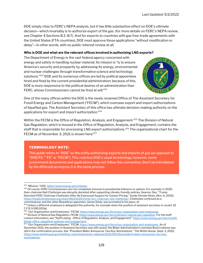DOE simply cites to FERC's NEPA analysis, but it has little substantive effect on DOE's ultimate decision—which invariably is to authorize export of the gas. (for more details on FERC's NEPA review, see Chapter 4 Sections B.2–B.7). And for exports to countries with gas free-trade agreements with the United States (FTA countries), DOE must approve those applications "without modification or delay"—in other words, with no public-interest review at all.

# Who is DOE and what are the relevant offices involved in authorizing LNG exports?

The Department of Energy is the vast federal agency concerned with energy and safety in handling nuclear material. Its mission is "is to ensure America's security and prosperity by addressing its energy, environmental and nuclear challenges through transformative science and technology solutions."<sup>472</sup> DOE and its numerous offices are led by political appointees hired and fired by the current presidential administration; because of this, DOE is more responsive to the political desires of an administration than FERC, whose Commissioners cannot be fired at will.<sup>473</sup>



One of the many offices within the DOE is the newly renamed Office of The Assistant Secretary for Fossil Energy and Carbon Management ("FECM"), which oversees export and import authorizations of liquefied gas. The Assistant Secretary of this office has ultimate decision-making authority on the applications for export and import authorization.<sup>474</sup>

Within the FECM is the Office of Regulation, Analysis, and Engagement.<sup>475</sup> The Division of Natural Gas Regulation, which is housed in the Office of Regulation, Analysis, and Engagement, contains the staff that is responsible for processing LNG export authorizations.<sup>476</sup> The organizational chart for the FECM as of November 3, 2021 is shown here: 477

# TERMINOLOGY NOTE:

This guide refers to "DOE" as the entity authorizing exports and imports of gas (as opposed to "DOE/FE," "FE" or "FECM"). This matches DOE's usual terminology; however, some government documents and applications may not follow this convention. Don't be intimidated by the different acronyms; it is the same process.

<sup>473</sup> Of course, FERC Commissioners are not completely immune to presidential influence or opinion. For example, in 2020, then-chairman Neil Chatterjee was abruptly demoted after supporting climate-friendly policies. Gearino, Dan. "Trump Demoted FERC Chairman Chatterjee After He Expressed Support for Carbon Pricing." Inside Climate News. (Nov. 6, 2020). https://insideclimatenews.org/news/06112020/trump-ferc-chairman-neil-chatterjee/. Chatterjee continued as a commissioner and the other Republican appointee, James Danly, was prompted in his place. Id.

475 "Our Organization and Employees." FECM. https://www.energy.gov/fecm/our-organization-and-employees. <sup>476</sup> Division of Natural Gas Regulation. FECM. https://www.energy.gov/fecm/division-natural-gas-regulation. For the staff contact information, see "Staff Listing - Office of Regulation, Analysis, and Engagement" https://www.energy.gov/fecm/stafflisting-office-regulation-analysis-and-engagement.

<sup>472 &</sup>quot;Mission." DOE. https://www.energy.gov/mission.

 $474$  Unless a different employee is delegated this authority, for example when the position of assistant secretary is vacant. 10 C.F.R. § 590.102(a).

<sup>477 &</sup>quot;Our Organization and Employees." FECM. https://www.energy.gov/fecm/our-organization-and-employees. As of December 2021, the position of Assistant Secretary was still vacant; the Biden Administration's nominee Brad Crabtree was still in the confirmation process. See "President Biden Announces Two Key Nominations." The White House. (Sept. 2, 2021) https://www.whitehouse.gov/briefing-room/statements-releases/2021/09/02/president-biden-announces-two-keynominations/.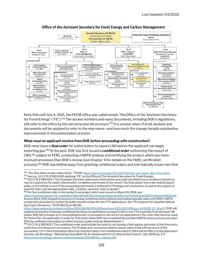

### Office of the Assistant Secretary for Fossil Energy and Carbon Management

Note that until July 4, 2021, the FECM office was called simply "the Office of the Assistant Secretary for Fossil Energy" ("FE").<sup>478</sup> The docket numbers and many documents, including DOE's regulations, still refer to the office by the old name and old acronym.<sup>479</sup> It is unclear when, if at all, dockets and documents will be updated to refer to the new name—and how much the change heralds substantive improvements in the authorization process.

### What must an applicant receive from DOE before proceeding with construction?

DOE must issue a *final order* for authorization to export LNG before the applicant can begin exporting gas.<sup>480</sup> In the past, DOE has first issued a **conditional order** authorizing the export of LNG,<sup>481</sup> subject to FERC conducting a NEPA analysis and certifying the project, which are moreinvolved processes than DOE's review (see Chapter 4 for details on the FERC certification process).<sup>482</sup> DOE has shifted away from granting conditional orders and now typically issues two final

<sup>481</sup> For the conditional order in the Jordan Cove project, which was issued on March 24, 2014, see

<sup>478 &</sup>quot;Our New Name is also a New Vision." FECM. https://www.energy.gov/fecm/articles/our-new-name-also-new-vision.

<sup>479</sup> See e.g., 10 C.F.R. § 590.102(f) (defining "FE" as the Office of The Assistant Secretary for Fossil Energy).

<sup>480</sup> 10 C.F.R. § 590.404. ("The Assistant Secretary shall issue a final opinion and order and attach such conditions thereto as may be required by the public interest after completion and review of the record. The final opinion and order shall be based solely on the official record of the proceeding and include a statement of findings and conclusions, as well as the reasons or basis for them, and the appropriate order, condition, sanction, relief or denial.")

https://fossil.energy.gov/ng\_regulation/sites/default/files/programs/gasregulation/authorizations/2014/orders/ord3413.pdf. Around 2014, DOE stopped its practice of issuing conditional authorizations and instead typically waits until FERC's NEPA review had concluded to conduct its public interest review for non-FTA applications. See "Procedures for Liquefied Natural Gas Export Decisions." 79 FR 48,132 at 48,136

https://www.energy.gov/sites/prod/files/2014/08/f18/FR%20Procedures%20LNG%20Exports%2008\_15\_14.pdf ("DOE will suspend its practice of issuing conditional decisions on applications to export LNG to non-FTA countries from the lower-48 states. DOE will no longer act in the published order of precedence, but will act on applications in the order they become ready for final action. An application is ready for final action when DOE has completed the pertinent NEPA review process and when DOE has sufficient information on which to base a public interest determination.").

<sup>482 10</sup> C.F.R. § 590.402 ("The conditional order shall include the basis for not issuing a final opinion and order at that time and a statement of findings and conclusions. The findings and conclusions shall be based solely on the official record of the proceeding.") For more information about the transition away from conditional orders in 2014 and its effect on the application process, see Brookings. "Natural Gas Issue Brief #4: An Assessment of U.S. Natural Gas Exports" (July 2015) pp. 2-5 https://www.brookings.edu/wp-content/uploads/2016/06/lng\_markets.pdf.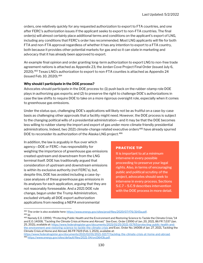orders, one relatively quickly for any requested authorization to export to FTA countries, and one after FERC's authorization issues if the applicant seeks to export to non-FTA countries. The final order(s) will almost certainly place additional terms and conditions on the applicant's export of LNG, including any conditions that FERC's order has recommended. Most LNG applicants will file for both FTA and non-FTA approval regardless of whether it has any intention to export to a FTA country, both because it provides other potential markets for gas and so it can state in marketing and advocacy that it has already been approved to export.

An example final opinion and order granting long-term authorization to export LNG to non-free trade agreement nations is attached as Appendix 23, the Jordan Cove Project Final Order (issued July 6, 2020).<sup>483</sup> Texas LNG's authorization to export to non-FTA counties is attached as Appendix 24 (issued Feb. 10, 2020).<sup>484</sup>

# Why should I participate in the DOE process?

Advocates should participate in the DOE process to: (1) push back on the rubber-stamp role DOE plays in authorizing gas exports; and (2) to preserve the right to challenge DOE's authorizations in case the law shifts to require DOE to take on a more rigorous oversight role, especially when it comes to greenhouse gas emissions.

Under the status quo, challenging DOE's applications will likely not be as fruitful on a case-by-case basis as challenging other approvals that a facility might need. However, the DOE process is subject to the changing political wills of a presidential administration—and it may be that the DOE becomes less willing to rubber stamp the import and export of gas under more-climate friendly presidential administrations. Indeed, two 2021 climate-change related executive orders<sup>485</sup> have already spurred DOE to reconsider its authorization of the Alaska LNG project.<sup>486</sup>

In addition, the law is arguably in flux over which agency—DOE or FERC—has responsibility for weighing the importance of greenhouse gas emissions created upstream and downstream from the LNG terminal itself. DOE has traditionally argued that consideration of upstream and downstream emissions is within its exclusive authority (not FERC's), but, despite this, DOE has avoided including a case-bycase analyses of these greenhouse gas emissions in its analyses for each application, arguing that they are not reasonably foreseeable. And a 2021 DOE rule change, begun under the Trump Administration, excluded virtually all DOE export authorization applications from needing a NEPA environmental

# PRACTICE TIP

It is important to at a minimum intervene in every possible proceeding to preserve your legal rights. Also, in terms of encouraging public and political scrutiny of the project, advocates should seek to intervene in every process. Sections 5.C.7 – 5.C.9 describes intervention with the DOE process in more detail.

<sup>483</sup> The order is also available here: https://www.energy.gov/sites/prod/files/2020/07/f76/3143a.pdf. <sup>484</sup> Id.

<sup>485</sup> Namely E.O. 13990, "Protecting Public Health and the Environment and Restoring Science to Tackle the Climate Crisis,"14 and E.O. 14008, "Tackling the Climate Crisis at Home and Abroad." See Exec. Order 13990 of Jan. 20, 2021, 86 FR 7,037 (Jan. 25, 2021), available at: https://www.federalregister.gov/documents/2021/01/25/2021-01765/protecting-public-health-andthe-environment-and-restoring-science-to-tackle-the-climate-crisis and Exec. Order No. 14008 of Jan. 27, 2021, Tackling the Climate Crisis at Home and Abroad, 86 FR 7619 (Feb. 1, 2021), available at:

https://www.federalregister.gov/documents/2021/02/01/2021-02177/tackling-the-climate-crisis-at-home-and-abroad. <sup>486</sup> https://www.energy.gov/sites/default/files/2021-04/ord3643b.pdf.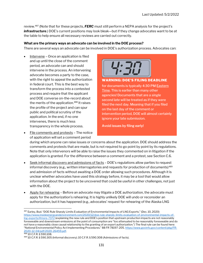review.<sup>487</sup> (Note that for these projects, **FERC** must still perform a NEPA analysis for the project's infrastructure.) DOE's current positions may look bleak—but if they change advocates want to be at the table to help ensure all necessary reviews are carried out correctly.

# What are the primary ways an advocate can be involved in the DOE process?

There are several ways an advocate can be involved in DOE's authorization process. Advocates can:

- Intervene Once an application is filed and up until the close of the comment period, an advocate can and should intervene in the process. An intervening advocate becomes a party to the case, with the right to appeal the authorization in federal court. This is the best way to transform the process into a contested process and require that the applicant and DOE converse on-the-record about the merits of the application.<sup>488</sup> It raises the profile of the project and can spur public and political scrutiny of the application. In the end, if no one intervenes, there is much less transparency in the whole process.
- File comments and protests The notice of application will set a comment period



for documents is typically 4:30 PM **Eastern** Time. This is earlier than many other agencies! Documents that are a single second late will be treated as if they were filed the next day. Meaning that if you filed on the last day of the comment or intervention period, DOE will almost certainly ignore your late submission.

Avoid issues by filing early!

during which anyone can raise issues or concerns about the application. DOE should address the comments and protests that are made, but is not required to go point by point by its regulations. Note that only intervenors will be able to raise the issues they commented on in litigation if the application is granted. For the difference between a comment and a protest, see Section C.6.

- Seek informal discovery and admissions of facts DOE's regulations allow parties to request informal discovery (e.g., written interrogatories and requests for production of documents)<sup>489</sup> and admission of facts without awaiting a DOE order allowing such procedures. Although it is unclear whether advocates have used this strategy before, it may be a tool that would allow information about the project to be uncovered that could be useful in other challenges, not just with the DOE.
- Apply for rehearing Before an advocate may litigate a DOE authorization, the advocate must apply for the authorization's rehearing. It is highly unlikely DOE will undo or reconsider an authorization, but it has happened (e.g., advocates' request for rehearing of the Alaska LNG

<sup>487</sup> Earley, Bud. "DOE Rule Sharply Limits Evaluation of Environmental Impacts of LNG Exports." (Dec. 10, 2020) https://www.insideenergyandenvironment.com/2020/12/doe-rule-sharply-limits-evaluation-of-environmental-impacts-oflng-exports/#more-7372 (explaining the new rule and DOE's position that upstream production impacts are not reasonably foreseeable and downstream emissions at the point of consumption are "too attenuated to be reasonably foreseeable and do not have a reasonably close causal relationship to the granting of an export authorization.") The final rule can be found here: "National Environmental Policy Act Implementing Procedures." 88 FR 78197-205. https://www.govinfo.gov/content/pkg/FR-2020-12-04/pdf/2020-26459.pdf.

<sup>488 10</sup> C.F.R. § 590.108.

<sup>489</sup> 10 C.F.R. § 590.305 (Informal discovery); 10 C.F.R. § 590.308 (Admissions of facts).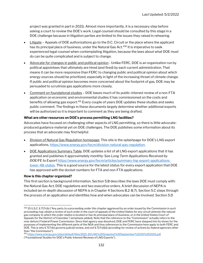project was granted in part in 2021). Almost more importantly, it is a necessary step before asking a court to review the DOE's work. Legal counsel should be consulted by this stage in a DOE challenge because in litigation parties are limited to the issues they raised in rehearing.

- Litigate Appeals of DOE authorizations go to the D.C. Circuit or the place where the applicant has its principal place of business, under the Natural Gas Act.<sup>490</sup> It is imperative to seek experienced legal counsel when contemplating litigation, because the laws about what DOE must do can be quite complicated and is subject to change.
- Advocate for changes in public and political opinion Unlike FERC, DOE is an organization run by political appointees that ultimately are hired (and fired) by each current administration. That means it can be more responsive than FERC to changing public and political opinion about which energy sources should be prioritized, especially in light of the increasing threat of climate change. If public and political opinion becomes more concerned about the footprint of gas, DOE may be persuaded to scrutinize gas applications more closely.
- Comment on foundational studies DOE bases much of its public-interest review of a non-FTA application on economic and environmental studies it has commissioned on the costs and benefits of allowing gas export.<sup>491</sup> Every couple of years DOE updates these studies and seeks public comment. The findings in these documents largely determine whether additional exports will be authorized so it is important to comment as they are being drafted.

### What are other resources on DOE's process permitting LNG facilities?

Advocates have focused on challenging other aspects of LNG permitting, so there is little advocateproduced guidance material yet on DOE challenges. The DOE publishes some information about its process that an advocate may find helpful:

- Division of Natural Gas Regulation homepage. This site is the splashpage for DOE's LNG export applications. https://www.energy.gov/fecm/division-natural-gas-regulation.
- DOE Applications Summary Table. DOE updates a list of all LNG export applications that it has granted and publishes it approximately monthly: See Long Term Applications Received by DOE/FE to Export https://www.energy.gov/fecm/articles/summary-lng-export-applicationslower-48-states. This is a good source for the latest status for every export application that DOE has approved with the docket numbers for FTA and non-FTA applications.

### How is this chapter organized?

This first section is background information. Section 5.B describes the laws DOE must comply with: the Natural Gas Act, DOE regulations and two executive orders. A brief discussion of NEPA is included (an in-depth discussion of NEPA is in Chapter 4 Sections B.2-B.7). Section 5.C steps through the process of an application and identifies how and when advocates can be involved. Section 5.D

```
491 https://www.energy.gov/sites/default/files/2021-10/LNG%20Snapshot%20September%2030%202021.pdf
```
<sup>490 15</sup> U.S.C. § 717r(b) ("Any party to a proceeding under this chapter aggrieved by an order issued by the Commission in such proceeding may obtain a review of such order in the court of appeals of the United States for any circuit wherein the naturalgas company to which the order relates is located or has its principal place of business, or in the United States Court of Appeals for the District of Columbia.") (emphasis added). Note that the reference to the "Commission" actually refers to the now-defunct Federal Power Commission. Since that agency was dissolved, DOE and FERC have stepped into its shoes for the purposes of implementing the different parts of the NGA and thus references to the Commission here apply to both FERC and DOE. This is why § 717r(b) governs judicial review, and not § 717r(d)(1) (providing for review of actions by federal agencies other than "the Commission").

<sup>(&</sup>quot;Foundational Studies for DOE's Public Interest Reviews of LNG Exports").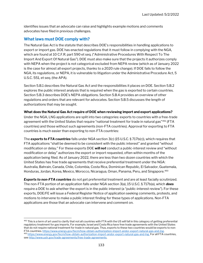identifies issues that an advocate can raise and highlights example motions and comments advocates have filed in previous challenges.

# What laws must DOE comply with?

The Natural Gas Act is the statute that describes DOE's responsibilities in handling applications to export or import gas. DOE has enacted regulations that it must follow in complying with the NGA, which are found at 10 C.F.R. part 590 et seq. ("Administrative Procedures With Respect To The Import And Export Of Natural Gas"). DOE must also make sure that the projects it authorizes comply with NEPA when the project is not categorical excluded from NEPA review (which as of January 2022 is the case for almost all export projects, thanks to a 2020 rule change). If DOE fails to follow the NGA, its regulations, or NEPA, it is vulnerable to litigation under the Administrative Procedure Act, 5 U.S.C. 551, et seq. (the APA).

Section 5.B.1 describes the Natural Gas Act and the responsibilities it places on DOE. Section 5.B.2 explores the public interest analysis that is required when the gas is exported to certain countries. Section 5.B.3 describes DOE's NEPA obligations. Section 5.B.4 provides an overview of other regulations and orders that are relevant for advocates. Section 5.B.5 discusses the length of authorizations that may be sought.

# What does the Natural Gas Act require of DOE when reviewing import and export applications?

Under the NGA, LNG applications are split into two categories: exports to countries with a free-trade agreement with the United States that require "national treatment for trade in natural gas"<sup>492</sup> (FTA countries) and those without such agreements (non-FTA countries). Approval for exporting to FTA countries is much easier than exporting to non-FTA countries:

The **exports to FTA countries** falls under NGA section 3(c) (15 U.S.C. § 717b(c)), which requires that FTA applications "shall be deemed to be consistent with the public interest" and granted "without modification or delay." For these exports DOE will not conduct a public-interest review and "without modification or delay" authorizes the export or import requested, often within months of the application being filed. As of January 2022, there are less than two dozen countries with which the United States has free trade agreements that receive preferential treatment under the NGA: Australia, Bahrain, Canada, Chile, Colombia, Costa Rica, Dominican Republic, El Salvador, Guatemala, Honduras, Jordan, Korea, Mexico, Morocco, Nicaragua, Oman, Panama, Peru, and Singapore.<sup>493</sup>

**Exports to non-FTA countries** do not get preferential treatment and are at least facially scrutinized. The non-FTA portion of an application falls under NGA section 3(a), 15 U.S.C. § 717b(a), which **does** require a DOE to ask whether the export is in the public interest (a "public-interest review"). For these exports, DOE/FE will issue a Federal Register Notice of application seeking comments, protests, and motions to intervene to make a public interest finding for these types of applications. Non-FTA applications are those that an advocate can intervene and comment on.

<sup>492</sup> This is a term of art used to clarify that not all countries with FTA with the US will fall in this category of getting preferential regulatory treatment for gas imports. For example, Israel and Costa Rica have free trade agreements with the United States that do not require national treatment for trade in natural gas. Thus, exports to these two countries would be exports to non-FTA countries. https://www.energy.gov/fecm/how-obtain-authorization-import-andor-export-natural-gas-and-lng. 493 https://www.energy.gov/fecm/how-obtain-authorization-import-andor-export-natural-gas-and-lng. For all FTA countries, see http://www.ustr.gov/trade-agreements/free-trade-agreements.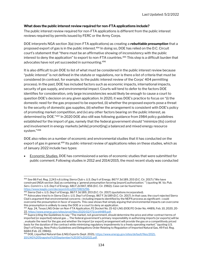# What does the public interest review required for non-FTA applications include?

The public interest review required for non-FTA applications is different from the public interest reviews required by permits issued by FERC or the Army Corps.

DOE interprets NGA section 3(a) (non-FTA applications) as creating a rebuttable presumption that a proposed export of gas is in the public interest.<sup>494</sup> In doing so, DOE has relied on the D.C. Circuit court's statement that "there must be an affirmative showing of inconsistency with the public interest to deny the application" to export to non-FTA countries.<sup>495</sup> This step is a difficult burden that advocates have not yet succeeded in surmounting.<sup>496</sup>

It is also difficult to pin DOE to list of what must be considered in the public interest review because "public interest" is not defined in the statute or regulations, nor is there a list of criteria that must be considered (in contrast, for example, to the public interest review of the Corps' 404 permitting process). In the past, DOE has included factors such as economic impacts, international impacts, security of gas supply, and environmental impact. Courts will tend to defer to the factors DOE identifies for consideration, only large inconsistencies would likely be enough to cause a court to question DOE's decision on any given application. In 2020, it was DOE's practice to focus on "(i) the domestic need for the gas proposed to be exported, (ii) whether the proposed exports pose a threat to the security of domestic gas supplies, (iii) whether the arrangement is consistent with DOE's policy of promoting market competition, and (iv) any other factors bearing on the public interest, as determined by DOE."<sup>497</sup> In 2020 DOE also still was following guidance from 1984 policy guidelines established for the import of gas, namely that the federal government should "minimize [its] control and involvement in energy markets [while] promot[ing] a balanced and mixed energy resource system."<sup>498</sup>

DOE also relies on a number of economic and environmental studies that it has conducted on the export of gas in general.<sup>499</sup> Its public-interest review of applications relies on these studies, which as of January 2022 include two types:

 Economic Studies. DOE has commissioned a series of economic studies that were submitted for public comment.Following studies in 2012 and 2014/2015, the most recent study was conducted

<sup>494</sup> See 86 Fed. Reg. 2,243 n.6 (citing Sierra Club v. U.S. Dep't of Energy, 867 F.3d 189, 203 (D.C. Cir. 2017) ("We have construed [NGA section 3(a)] as containing a `general presumption favoring [export] authorization.' ") (quoting W. Va. Pub. Serv. Comm'n v. U.S. Dep't of Energy, 681 F.2d 847, 856 (D.C. Cir. 1982)). Case can be found here: https://www.leagle.com/decision/infco20170815296.

<sup>495</sup> Sierra Club v. U.S. Dep't of Energy, 867 F.3d 189, 203 (D.C. Cir. 2017) (quotations incorporated).

<sup>496</sup> Advocates tried to in Sierra Club v. U.S. Dep't of Energy, 867 F.3d 189 (D.C. Cir. 2017). In that case, the court rejected Sierra Club's argument that environmental concerns—including impacts identified by the NEPA process as significant—could overcome the presumption in favor of exports. This case shows that simply arguing that environmental impacts can overcome this presumption is unlikely to sway the DOE or a court to deny an application.

<sup>497</sup> App. 24, Texas LNG Order on Non-FTA Application, FE Docket No. 15-62-LNG (DOE/FE Order No. 4489), Feb. 10, 2020, 20- 22, https://www.energy.gov/sites/prod/files/2020/02/f71/ord4489.pdf.

<sup>498</sup> Supra (citing the Guidelines to say: "The market, not government, should determine the price and other contract terms of imported [or exported] natural gas .... The federal government's primary responsibility in authorizing imports [or exports] will be , evaluate the need for the gas and whether the import [or export] arrangement will provide the gas on a competitively priced basis for the duration of the contract while minimizing regulatory impediments to a freely operating market." (quoting U.S. Dep't of Energy, New Policy Guidelines and Delegations Order Relating to Regulation of Imported Natural Gas, 49 Fed. Reg. 6684 (Feb. 22, 1984))).

<sup>499</sup> DOE, Liquefied Natural Gas (LNG) Exports (Sept. 2021), https://www.energy.gov/sites/default/files/2021- 10/LNG%20Snapshot%20September%2030%202021.pdf.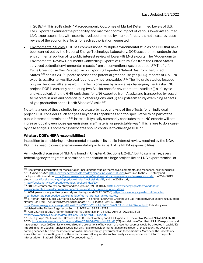in 2018.<sup>500</sup> This 2018 study, "Macroeconomic Outcomes of Market Determined Levels of U.S. LNG Exports" examined the probability and macroeconomic impact of various lower-48 sourced LNG export scenarios, with exports levels determined by market forces. It is not a case-by-case review of the economic effects for each authorization requested.

 Environmental Studies. DOE has commissioned multiple environmental studies on LNG that have been carried out by the National Energy Technology Laboratory. DOE uses them to underpin the environmental portion of its public interest review of lower-48 LNG exports. The "Addendum to Environmental Review Documents Concerning Exports of Natural Gas from the United States" surveyed potential environmental impacts from unconventional gas production.<sup>501</sup> The "Life Cycle Greenhouse Gas Perspective on Exporting Liquefied Natural Gas from the United States"<sup>502</sup> and its 2019 update assessed the potential greenhouse gas (GHG) impacts of U.S. LNG exports vs. alternatives like coal (but notably not renewables).<sup>503</sup> The life cycle studies focused only on the lower 48 states—but thanks to pressure by advocates challenging the Alaska LNG project, DOE is currently conducting two Alaska-specific environmental studies: (i) a life cycle analysis calculating the GHG emissions for LNG exported from Alaska and transported by vessel to markets in Asia and potentially in other regions, and (ii) an upstream study examining aspects of gas production on the North Slope of Alaska.<sup>504</sup>

Note that none of these studies involve a case-by-case analysis of the effects for an individual project. DOE considers such analyses beyond its capabilities and too speculative to be part of the public interest determination.<sup>505</sup> Instead, it typically summarily concludes that LNG exports will not increase global greenhouse gas emissions in a "material or predictable way." This failure to do a caseby-case analysis is something advocates should continue to challenge DOE on.

# What are DOE's NEPA responsibilities?

In addition to considering environmental impacts in its public-interest review required by the NGA, DOE may need to consider environmental impacts as part of its NEPA responsibilities.

An in-depth discussion of NEPA is found in Chapter 4, Sections B.2–B.7, but to summarize, every federal agency that grants a permit or authorization to a large project like an LNG export terminal or

https://www.energy.gov/sites/prod/files/2019/09/f66/2019%20NETL%20LCA-GHG%20Report.pdf. This study was published in the Federal Register on Sept. 19, 2019 and 84 FR 49278.

<sup>500</sup> Background information for these studies (including the studies themselves, comments, and responses) are found here: LNG Export Studies, https://www.energy.gov/fecm/downloads/lng-export-studies (with links to the 2012 study and background information: https://www.energy.gov/fecm/services/natural-gas-regulation/lng-export-study; the 2014/2015 study: https://fossil.energy.gov/app/docketindex/docket/index/11; and the 2018 study: https://fossil.energy.gov/app/docketindex/docket/index/10).

<sup>501 2014</sup> environmental review study and background (79 FR 48132): https://www.energy.gov/fecm/addendumenvironmental-review-documents-concerning-exports-natural-gas-united-states.

<sup>&</sup>lt;sup>502</sup> 2014 greenhouse gas life cycle study and background (79 FR 32260): <u>https://www.energy.gov/fecm/life-cycle-</u> greenhouse-gas-perspective-exporting-liquefied-natural-gas-united-states.

<sup>&</sup>lt;sup>503</sup> S. Roman-White, S. Rai, J. Littlefield, G. Cooney, T. J. Skone, "Life Cycle Greenhouse Gas Perspective On Exporting Liquefied Natural Gas From The United States: 2019 Update." NETL (dated Sept. 12, 2019)

<sup>504</sup> App. 25, Alaska LNG Order on Rehearing. FE Docket No. 14-96-LNG (April 15, 2021) at 13-15 https://www.energy.gov/sites/default/files/2021-04/ord3643b.pdf.

<sup>505</sup> See, e.g., App. 24, Texas LNG Brownsville LLC Order Granting non-FTA Exports, FE Docket No. 15-62-LNG at 42 (Feb. 10, 2020) https://www.energy.gov/sites/prod/files/2020/02/f71/ord4489.pdf. ("[T]o model the effect that U.S. LNG exports would have on net global GHG emissions would require projections of how each of these fuel sources would be affected in each LNGimporting nation. Such an analysis would not only have to consider market dynamics in each of these countries over the coming decades, but also the interventions of numerous foreign governments in those markets. Moreover, the uncertainty associated with estimating each of these factors would likely render such an analysis too speculative to inform the public interest determination in DOE's non-FTA proceedings.").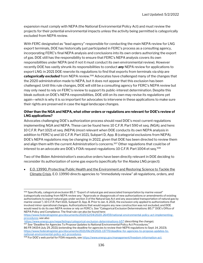expansion must comply with NEPA (the National Environmental Policy Act) and must review the projects for their potential environmental impacts unless the activity being permitted is categorically excluded from NEPA review.

With FERC designated as "lead agency" responsible for conducting the main NEPA review for LNG export terminals, DOE has historically just participated in FERC's process as a consulting agency, incorporating FERC's final NEPA analysis and conclusions into its own orders authorizing the export of gas. DOE still has the responsibility to ensure that FERC's NEPA analysis covers its own responsibilities under NEPA (and if not it must conduct its own environmental review). However recently DOE has vastly shrunk its responsibilities to conduct **any** NEPA review for applications to export LNG: in 2021 DOE rewrote its regulations to find that exports from terminals via ship are categorically excluded from NEPA review.<sup>506</sup> Advocates have challenged many of the changes that the 2020 administration made to NEPA, but it does not appear that this exclusion has been challenged. Until this rule changes, DOE will still be a consulting agency for FERC's NEPA review but may only need to rely on FERC's review to support its public-interest determination. Despite this bleak outlook on DOE's NEPA responsibilities, DOE still on its own may revise its regulations yet again—which is why it is so important for advocates to intervene in these applications to make sure their rights are preserved in case the legal landscape changes.

## Other than the NGA and NEPA, what other orders or regulations are relevant for DOE's review of LNG applications?

Advocates challenging DOE's authorization process should read DOE's most current regulations implementing NGA and NEPA. These can be found here: 10 C.F.R. Part 590 et seq. (NGA); and here: 10 C.F.R. Part 1021 et seq. (NEPA) (most relevant when DOE conducts its own NEPA analysis in addition to FERC's) and 10 C.F.R. Part 1021, Subpart D, App. B (categorial exclusions from NEPA). DOE's NEPA regulations may be changing in 2022, given that DOE has been directed to review them and align them with the current Administration's concerns.<sup>507</sup> Other regulations that could be of interest to an advocate are DOE's FOIA request regulations: 10 C.F.R. Part 1004 et seq.<sup>508</sup>

Two of the Biden Administration's executive orders have been directly relevant in DOE deciding to reconsider its authorization of some gas exports (specifically for the Alaska LNG project):

 E.O. 13990, Protecting Public Health and the Environment and Restoring Science to Tackle the Climate Crisis. E.O. 13990 directs agencies to "immediately review" all regulations, orders, and

https://www.energy.gov/nepa/listings/categorical-exclusion-determinations-b57 (describing the change). <sup>507</sup> See "Deadline for Agencies To Propose Updates to National Environmental Policy Act Procedures."

86 FR 34154 (July 29, 2021) (extending the deadline for agencies to review their NEPA regulations to Sept. 14, 2023). https://www.federalregister.gov/documents/2021/06/29/2021-13770/deadline-for-agencies-to-propose-updates-tonational-environmental-policy-act-procedures.

<sup>506</sup> Specifically, categorical exclusion B5.7: "Export of natural gas and associated transportation by marine vessel" (categorically excluding from NEPA review any: "Approvals or disapprovals of new authorizations or amendments of existing authorizations to export natural gas under section 3 of the Natural Gas Act and any associated transportation of natural gas by marine vessel."). 10 C.F.R. Part 1021, Subpart D, App. B. Prior to Jan. 4, 2021, the exclusion only applied to authorizations that involved minor operational changes. Authorizations that would require any new construction was not excluded, and DOE would need to do its own NEPA review or rely on FERC's. See "Categorical Exclusion Determinations: B5.7" DOE's Office of NEPA Policy and Compliance. The final rule can also be found here:

https://www.federalregister.gov/documents/2020/12/04/2020-26459/national-environmental-policy-act-implementingprocedures; see also

<sup>508</sup> For DOE's web portal for FOIA requests, see https://www.energy.gov/management/freedom-information-act.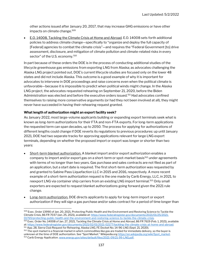other actions issued after January 20, 2017, that may increase GHG emissions or have other impacts on climate change.<sup>509</sup>

 E.O. 14008, Tackling the Climate Crisis at Home and Abroad. E.O. 14008 sets forth additional policies to address climate change—specifically to "organize and deploy the full capacity of [Federal] agencies to combat the climate crisis"—and requires the "Federal Government [to] drive assessment, disclosure, and mitigation of climate pollution and climate-related risks in every sector" of the U.S. economy.<sup>510</sup>

In part because of these orders the DOE is in the process of conducting additional studies of the lifecycle greenhouse gas emissions from exporting LNG from Alaska; as advocates challenging the Alaska LNG project pointed out, DOE's current lifecycle studies are focused only on the lower 48 states and did not include Alaska. This outcome is a good example of why it is important for advocates to intervene in DOE proceedings and raise concerns even when the political climate is unfavorable—because it is impossible to predict when political winds might change. In the Alaska LNG project, the advocates requested rehearing on September 21, 2020, before the Biden Administration was elected and before the executive orders issued.<sup>511</sup> Had advocates confined themselves to raising more conservative arguments (or had they not been involved at all), they might never have succeeded in having their rehearing request granted.

# What length of authorization might an export facility seek?

As January 2022, most large-volume applicants building or expanding export terminals seek what is known as long-term authorizations for their FTA and non-FTA exports. For long-term applications the requested term can span decades, up to 2050. The process for applying for authorizations of different lengths could change if DOE reverts its regulations to previous procedures: up until January 2021, DOE had two separate tracks for approving applications relevant for large LNG export terminals, depending on whether the proposed import or export was longer or shorter than two years:

- Short-term blanket authorization. A blanket import and/or export authorization enables a company to import and/or export gas on a short-term or spot-market basis<sup>512</sup> under agreements with terms of no longer than two years. Gas purchase and sales contracts are not filed as part of an application, but a start date is required. The first short-term authorization was requested by and granted to Sabine Pass Liquefaction LLC in 2015 and 2016, respectively. A more recent example of a short-term authorization request is the one made by Carib Energy, LLC, in 2021, to reexport LNG via container ship carriers from an existing LNG import terminal.<sup>513</sup> Only small exporters are expected to request blanket authorizations going forward given the 2021 rule change.
- Long-term authorization. DOE directs applicants to apply for long-term import or export authorization if they will sign a gas purchase and/or sales contract for a period of time longer than

<sup>509</sup> Exec. Order 13990 of Jan. 20, 2021, Protecting Public Health and the Environment and Restoring Science to Tackle the Climate Crisis, 86 FR 7037 (Jan. 25, 2021), available at: https://www.federalregister.gov/documents/2021/01/25/2021- 01765/protecting-public-health-and-the-environment-and-restoring-science-to-tackle-the-climate-crisis.

<sup>510</sup> Exec. Order No. 14008 of Jan. 27, 2021, Tackling the Climate Crisis at Home and Abroad, 86 FR 7619 (Feb. 1, 2021), available at: https://www.federalregister.gov/documents/2021/02/01/2021-02177/tackling-the-climate-crisis-at-home-and-abroad. <sup>511</sup> App. 28, Sierra Club Request for Rehearing, Alaska LNG, FE Docket No. 14-96-LNG (Sept. 21, 2020).

<sup>&</sup>lt;sup>512</sup> The spot market is a financial market in which commodities like gas are traded for immediate delivery, so the buyer is unknown at the time of DOE authorization. See "Spot Market." Wikipedia.org https://en.wikipedia.org/wiki/Spot\_market. 513 Carib Energy Application. www.energy.gov/sites/default/files/2021-09/21-99-LNG.pdf.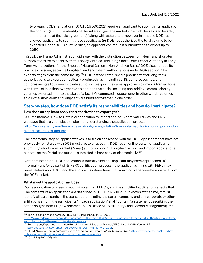two years. DOE's regulations (10 C.F.R. § 590.202) require an applicant to submit in its application the contract(s) with the identity of the sellers of gas, the markets in which the gas is to be sold, and the terms of the sale agreement(s)along with a start date; however in practice DOE has allowed applicants to submit these specifics **after** DOE has authorized the total volume to be exported. Under DOE's current rules, an applicant can request authorization to export up to 2050.

In 2021, the Trump Administration did away with the distinction between long-term and short-term authorizations for exports. With this policy, entitled "Including Short-Term Export Authority in Long-Term Authorizations for the Export of Natural Gas on a Non-Additive Basis," DOE discontinued its practice of issuing separate long-term and short-term authorizations under NGA section 3 for exports of gas from the same facility.<sup>514</sup> DOE instead established a practice that all long-term authorizations to export domestically produced gas—including LNG, compressed gas, and compressed gas liquid—will include authority to export the same approved volume via transactions with terms of less than two years on a non-additive basis (including non-additive commissioning volumes exported prior to the start of a facility's commercial operations). In other words, volumes sold in the short-term and long-term are bundled together in one order.

# Step-by-step, how does DOE satisfy its responsibilities and how do I participate?

# How does an applicant apply for authorization to export gas?

DOE maintains a "How to Obtain Authorization to Import and/or Export Natural Gas and LNG" webpage that is a good place to start for understanding the application process: https://www.energy.gov/fe/services/natural-gas-regulation/how-obtain-authorization-import-andorexport-natural-gas-and-lng.

The first formal step an applicant takes is to file an application with the DOE. Applicants that have not previously registered with DOE must create an account. DOE has an online portal for applicants submitting short-term blanket (2-year) authorizations.<sup>515</sup> Long-term export and import applications cannot use the Portal and must be submitted in hard copy or electronically.<sup>516</sup>

Note that before the DOE application is formally filed, the applicant may have approached DOE informally and/or as part of its FERC certification process—the applicant's filings with FERC may reveal details about DOE and the applicant's interactions that would not otherwise be apparent from the DOE docket.

# What must the application include?

DOE's application process is much simpler than FERC's, and the simplified application reflects that. The contents of an application are described in 10 C.F.R. § 590.202. If known at the time, it must identify all participants in the transaction, including the parent company and any corporate or other affiliations among the participants.<sup>517</sup> Each application "shall" contain "a statement describing the action sought from FE [now renamed DOE's Office of Fossil Energy and Carbon Management), the

<sup>514</sup> The rule can be found here: 86 FR 2243-46 (published Jan. 12, 2021)

https://www.federalregister.gov/documents/2021/01/12/2020-28599/including-short-term-export-authority-in-long-termauthorizations-for-the-export-of-natural-gas-on-a.

<sup>515</sup> See "Import/Export Authorization Portal for Natural Gas User Manual," FECM, April 2019, Version 1.2. https://fossil.energy.gov/fergas-fe/docs/Portal\_User\_Manual\_v\_1\_2.pdf.

<sup>516</sup> FECM. "How to Obtain Authorization to Import and/or Export Natural Gas and LNG." https://www.energy.gov/fecm/howobtain-authorization-import-andor-export-natural-gas-and-lng.

<sup>517</sup> 10 C.F.R. § 590.202(b)(3).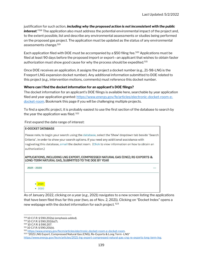justification for such action, including why the proposed action is not inconsistent with the public interest."<sup>518</sup> The application also must address the potential environmental impact of the project and, to the extent possible, list and describe any environmental assessments or studies being performed on the proposed gas project. The application must be updated as the status of any environmental assessments change.<sup>519</sup>

Each application filed with DOE must be accompanied by a \$50 filing fee.<sup>520</sup> Applications must be filed at least 90 days before the proposed import or export—an applicant that wishes to obtain faster authorization must show good cause for why the process should be expedited.<sup>521</sup>

Once DOE receives an application, it assigns the project a docket number (e.g., 21-98-LNG is the Freeport LNG expansion docket number). Any additional information submitted to DOE related to this project (e.g., intervention motions, comments) must reference this docket number.

### Where can I find the docket information for an applicant's DOE filings?

The docket information for an applicant's DOE filings is available here, searchable by year application filed and year application granted: https://www.energy.gov/fe/articles/electronic-docket-room-edocket-room. Bookmark this page if you will be challenging multiple projects.

To find a specific project, it is probably easiest to use the first section of the database to search by the year the application was filed.<sup>522</sup>

### First expand the date range of interest:

| <b>E-DOCKET DATABASE</b>                                                                                                                                                                                                                                                                                                 |
|--------------------------------------------------------------------------------------------------------------------------------------------------------------------------------------------------------------------------------------------------------------------------------------------------------------------------|
| Please note, to begin your search using the database, select the 'Show' dropdown tab beside "Search<br>Criteria", in order to show your search options. If you need any additional assistance with<br>nagivating this database, email the docket room. (Click to view information on how to obtain an<br>authorization.) |
| APPLICATIONS, INCLUDING LNG EXPORT, COMPRESSED NATURAL GAS (CNG); RE-EXPORTS &<br>LONG-TERM NATURAL GAS, SUBMITTED TO THE DOE BY YEAR                                                                                                                                                                                    |
| 2021 - 2020                                                                                                                                                                                                                                                                                                              |
| • 2021<br>2020                                                                                                                                                                                                                                                                                                           |

As of January 2022, clicking on a year (e.g., 2021) navigates to a new screen listing the applications that have been filed thus far this year (two, as of Nov. 2, 2021). Clicking on "Docket Index" opens a new webpage with the docket information for each project.<sup>523</sup>

<sup>518</sup> 10 C.F.R. § 590.202(a) (emphasis added).

<sup>519</sup> 10 C.F.R. § 590.202(b)(7).

<sup>520</sup> 10 C.F.R. § 590.207.

<sup>521</sup> 10 C.F.R. § 590.201(b).

<sup>522</sup> https://www.energy.gov/fecm/articles/electronic-docket-room-e-docket-room.

<sup>523</sup> "2021 LNG Export, Compressed Natural Gas (CNG), Re-Exports & Long Term -LNG"

https://www.energy.gov/fecm/articles/2021-lng-export-compressed-natural-gas-cng-re-exports-long-term-lng.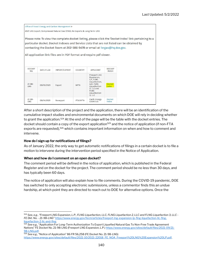|                           |            | Office of Fossil Energy and Carbon Management »                                                                                                   |             |                                                                                                                                               |                               |                                                                                                                                                                                                      |  |
|---------------------------|------------|---------------------------------------------------------------------------------------------------------------------------------------------------|-------------|-----------------------------------------------------------------------------------------------------------------------------------------------|-------------------------------|------------------------------------------------------------------------------------------------------------------------------------------------------------------------------------------------------|--|
|                           |            | 2021 LNG Export, Compressed Natural Gas (CNG), Re-Exports & Long Term -LNG                                                                        |             |                                                                                                                                               |                               |                                                                                                                                                                                                      |  |
|                           |            | contacting the Docket Room at 202-586-9478 or email at fergas@hq.doe.gov.<br>All application link files are in PDF format and require pdf viewer. |             |                                                                                                                                               |                               | Please note: To view the complete docket listing, please click the 'Docket Index' link pertaining to a<br>particular docket. Docket Indexes and Service Lists that are not listed can be obtained by |  |
| <b>DOCKET</b><br>NO.      | DATE FILED | IMPORT/EXPORT                                                                                                                                     | COUNTRY     | <b>APPLICANT</b>                                                                                                                              | <b>DOCKET</b><br><b>INDEX</b> |                                                                                                                                                                                                      |  |
| $21 - 98 -$<br>LNG        | 09/10/2021 | Export                                                                                                                                            | <b>NFTA</b> | Freeport LNG<br>Expansion,<br>L.P., FLNG<br>Liquefaction,<br>LLC, FLNG<br>Liquefaction<br>2. LLC and<br><b>FLNG</b><br>Liquefaction<br>3. LLC | <b>Docket</b><br>Index        |                                                                                                                                                                                                      |  |
| $21 - 99 -$<br><b>LNG</b> | 09/14/2021 | Re-export                                                                                                                                         | FTA/NFTA    | Carib Energy<br>(USA) LLC                                                                                                                     | Docket<br>Index               |                                                                                                                                                                                                      |  |

After a short description of the project and the application, there will be an identification of the cumulative impact studies and environmental documents on which DOE will rely in deciding whether to grant the application.<sup>524</sup> At the end of the page will be the table with the docket entries. The docket should contain a copy of the export application<sup>525</sup> and the notice of application (if non-FTA exports are requested),<sup>526</sup> which contains important information on when and how to comment and intervene.

# How do I sign up for notifications of filings?

As of January 2022, the only way to get automatic notifications of filings in a certain docket is to file a motion to intervene during the intervention period specified in the Notice of Application.

### When and how do I comment on an open docket?

The comment period will be defined in the notice of application, which is published in the Federal Register and on the docket for the project. The comment period should be no less than 30 days, and has typically been 60 days.

The notice of application will also explain how to file comments. During the COVID-19 pandemic, DOE has switched to only accepting electronic submissions, unless a commentor finds this an undue hardship, at which point they are directed to reach out to DOE for alternative options. Once the

<sup>524</sup> See, e.g., "Freeport LNG Expansion, L.P., FLNG Liquefaction, LLC, FLNG Liquefaction 2, LLC and FLNG Liquefaction 3, LLC -FE Dkt. No. - 21-98-LNG" https://www.energy.gov/fecm/articles/freeport-lng-expansion-lp-flng-liquefaction-llc-flngliquefaction-2-llc-and-flng.

<sup>525</sup> See e.g., "Application For Long-Term Authorization To Export Liquefied Natural Gas To Non-Free Trade Agreement Nations" FE Docket No. 21-98-LNG (Freeport LNG Expansion, L.P.) https://www.energy.gov/sites/default/files/2021-09/21- 98-LNG.pdf.

<sup>526</sup> See e.g., "Notice of Application" 86 FR 56,258 (FE Docket No. 21-98-LNG) https://www.energy.gov/sites/default/files/2021-10/2021-22018\_FE\_NOA\_Freeport%20LNG%20Expansion%20LP.pdf.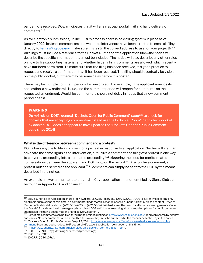pandemic is resolved, DOE anticipates that it will again accept postal mail and hand delivery of comments.<sup>527</sup>

As for electronic submissions, unlike FERC's process, there is no e-filing system in place as of January 2022. Instead, commentors and would-be intervenors have been directed to email all filings directly to fergas@hq.doe.gov (make sure this is still the correct address to use for your project!).<sup>528</sup> All filings must include a reference to the Docket Number or the application title—the notice will describe the specific information that must be included. The notice will also describe any other rules on how to file supporting material, and whether hyperlinks in comments are allowed (which recently have **not** been permitted). To make sure that the filing has been received, it is good practice to request and receive a confirmation that it has been received. The filing should eventually be visible on the public docket, but there may be some delay before it is posted.

There may be multiple comment periods for one project. For example, if the applicant amends its application, a new notice will issue, and the comment period will reopen for comments on the requested amendment. Would-be commentors should not delay in hopes that a new comment period opens!

### WARNING

Do not rely on DOE's general "Dockets Open for Public Comment" page<sup>529</sup> to check for dockets that are accepting comments-instead use the E-Docket Room<sup>530</sup> and check docket by docket. DOE does not appear to have updated the "Dockets Open for Public Comment" page since 2014!

### What is the difference between a comment and a protest?

DOE allows anyone to file a comment or a protest in response to an application. Neither will grant an advocate the same rights as an intervention, but unlike a comment, the filing of a protest is one way to convert a proceeding into a contested proceeding,<sup>531</sup> triggering the need for merits-related conversations between the applicant and DOE to go on the record.<sup>532</sup> Also unlike a comment, a protest must be served on the applicant.<sup>533</sup> Comments can simply be sent to the DOE by the means described in the notice.

An example answer and protest to the Jordan Cove application amendment filed by Sierra Club can be found in Appendix 26 and online at:

<sup>527</sup> See, e.g., Notice of Application on Docket No. 21-98-LNG. 86 FR 56,259 (Oct. 8, 2021) ("DOE is currently accepting only electronic submissions at this time. If a commenter finds that this change poses an undue hardship, please contact Office of Resource Sustainability staff at (202) 586–2627 or (202) 586–4749 to discuss the need for alternative arrangements. Once the Covid–19 pandemic health emergency is resolved, DOE anticipates resuming all of its regular options for public comment submission, including postal mail and hand delivery/courier.").

 $528$  Sometimes comments can be filed through the project's listing on https://www.regulations.gov/. (You can search by agency and name). No other motions can be submitted this way—they must be submitted in the manner described by in the notice. 529 "Dockets Open for Public Comment" (April 9, 2014) https://www.energy.gov/fecm/downloads/dockets-open-publiccomment (listing no dockets despite Freeport LNG's export application being open at this time).

<sup>530</sup> https://www.energy.gov/fecm/articles/electronic-docket-room-e-docket-room. <sup>531</sup> 10 C.F.R. § 590.102(b) (defining "contested proceeding").

<sup>532</sup> 10 C.F.R. § 590.108.

<sup>533</sup> 10 C.F.R. § 590.107(a).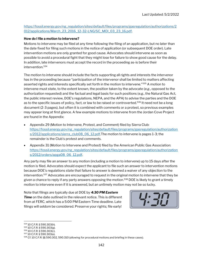# https://fossil.energy.gov/ng\_regulation/sites/default/files/programs/gasregulation/authorizations/2 012/applications/March 23\_2016\_12-32-LNG/SC\_MOI\_03\_23\_16.pdf.

## How do I file a motion to intervene?

Motions to intervene may be filed at any time following the filing of an application, but no later than the date fixed for filing such motions in the notice of application (or subsequent DOE order). Late intervention motions are only granted for good cause. Advocates should intervene as soon as possible to avoid a procedural fight that they might lose for failure to show good cause for the delay. In addition, late intervenors must accept the record in the proceeding as-is before their intervention.<sup>534</sup>

The motion to intervene should include the facts supporting all rights and interests the intervenor has in the proceeding because "participation of the intervenor shall be limited to matters affecting asserted rights and interests specifically set forth in the motion to intervene."<sup>535</sup> A motion to intervene must state, to the extent known, the position taken by the advocate (e.g., opposed to the authorization requested) and the factual and legal basis for such positions (e.g., the Natural Gas Act, the public interest review, DOE's regulations, NEPA, and the APA) to advise the parties and the DOE as to the specific issues of policy, fact, or law to be raised or controverted.<sup>536</sup> It need not be a long document (2-3 pages), but often it is combined with comments or a protest, so previous examples may appear long at first glance. A few example motions to intervene from the Jordan Cove Project are found in the Appendix:

- Appendix 29 (Motion to Intervene, Protest, and Comment) filed by Sierra Club: https://fossil.energy.gov/ng\_regulation/sites/default/files/programs/gasregulation/authorization s/2012/applications/sierra\_club08\_06\_12.pdf.The motion to intervene is pages 1-3; the remainder is the Club's protest and comments.
- Appendix 31 (Motion to Intervene and Protest) filed by the American Public Gas Association: https://fossil.energy.gov/ng\_regulation/sites/default/files/programs/gasregulation/authorization s/2012/orders/apga08\_06\_12.pdf.

Any party may file an answer to any motion (including a motion to intervene) up to 15 days after the motion is filed. Advocates should expect the applicant to file such an answer to intervention motions because DOE's regulations state that failure to answer is deemed a waiver of any objection to the intervention.<sup>537</sup> Advocates are encouraged to request in the original motion to intervene that they be given a chance to reply if any party answers opposing the motion.<sup>538</sup> DOE is likely to grant a timely motion to intervene even if it is answered, but an untimely motion may not be so lucky.

Note that filings are typically due at DOE by 4:30 PM Eastern **Time** on the date outlined in the relevant notice. This is different from at FERC, which has a 5:00 PM Eastern Time deadline. Late filings will seldom be considered. Preserve your rights; file early!



<sup>534</sup> 10 C.F.R. § 590.303(h).

<sup>535</sup> 10 C.F.R. § 590.303(g).

<sup>536</sup> 10 C.F.R. § 590.303(c).

<sup>537</sup> 10 C.F.R. § 590.303(e).

<sup>538</sup> Cf. 10 C.F.R. §§ 590.302, 590.310 (allowing for procedural motions and briefing in these cases).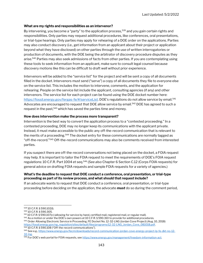### What are my rights and responsibilities as an intervenor?

By intervening, you become a "party" to the application process,<sup>539</sup> and you gain certain rights and responsibilities. Only parties may request additional procedures, like conferences, oral presentations, or trial-type hearings. Only parties may apply for rehearing of a DOE order on the applications. Parties may also conduct discovery (i.e., get information from an applicant about their project or application beyond what they have disclosed) on other parties through the use of written interrogatories or production of documents, with the DOE being the arbitrator of discovery procedure disputes as they arise.<sup>540</sup> Parties may also seek admissions of facts from other parties. If you are contemplating using these tools to seek information from an applicant, make sure to consult legal counsel because discovery motions like this can be difficult to draft well without prior experience.

Intervenors will be added to the "service list" for the project and will be sent a copy of all documents filled in the docket. Intervenors must send ("serve") a copy of all documents they file to everyone else on the service list. This includes the motion to intervene, comments, and the application for rehearing. People on the service list include the applicant, consulting agencies (if any) and other intervenors. The service list for each project can be found using the DOE docket number here: https://fossil.energy.gov/fergas-fe/#/serviceList. DOE's regulations do not allow service by email.<sup>541</sup> Advocates are encouraged to request that DOE allow service by email.<sup>542</sup> DOE has agreed to such a request in the past,<sup>543</sup> which has saved the parties time and money.

### How does intervention make the process more transparent?

Intervention is the best way to convert the application process to a "contested proceeding." In a contested proceeding, DOE may no longer keep its communications with the applicant private. Instead, it must make accessible to the public any off-the-record communication that is relevant to the merits of a proceeding.<sup>544</sup> The docket entry for these communications are normally tagged as "off-the-record."<sup>545</sup> Off-the-record communications may also be comments received from interested parties.

If you suspect there are off-the-record conversations not being placed on the docket, a FOIA request may help. It is important to tailor the FOIA request to meet the requirements of DOE's FOIA request regulations: 10 C.F.R. Part 1004 et seq.<sup>546</sup> (See also Chapter 6 Section C.12 (Corps FOIA requests) for general advice on drafting FOIA requests and sample FOIA requests for a variety of agencies.)

### What's the deadline to request that DOE conduct a conference, oral presentation, or trial-type proceeding as part of its review process, and what should that request include?

If an advocate wants to request that DOE conduct a conference, oral presentation, or trial-type proceeding before deciding on the application, the advocate **must** do so during the comment period,

<sup>544</sup> 10 C.F.R. § 590.108 ("Off-the-record communications").

<sup>539</sup> 10 C.F.R. § 590.102(l).

<sup>540</sup> 10 C.F.R. § 590.305.

<sup>&</sup>lt;sup>541</sup> 10 C.F.R. § 590.107(c) (allowing for service by hand, certified mail, registered mail, or regular mail).

<sup>&</sup>lt;sup>542</sup> As a motion or under the DOE's own powers at 10 C.F.R. § 590.310 to provide for additional procedures.

<sup>543</sup> Order Allowing Electronic Service in Proceeding, FE Docket No. 12-32-LNG (Jordan Cove Project) (Aug. 10, 2018) https://fossil.energy.gov/ng\_regulation/sites/default/files/programs/12-32-LNG\_Jordan\_Cove\_081018.pdf.

<sup>545</sup> See e.g., https://www.energy.gov/fecm/downloads/record-communication-jordan-cove-energy-project-lp-fe-dkt-no-12-32-lng.

<sup>546</sup> For DOE's web portal for FOIA requests, see https://www.energy.gov/management/freedom-information-act.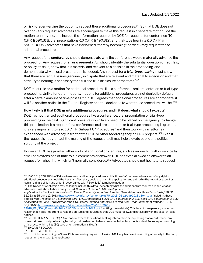or risk forever waiving the option to request these additional procedures.<sup>547</sup> So that DOE does not overlook this request, advocates are encouraged to make this request in a separate motion, not the motion to intervene, and include the information required by DOE for requests for conference (10 C.F.R. § 590.311), oral presentations (10 C.F.R. § 490.312), and trial-type hearings (10 C.F.R. § 590.313). Only advocates that have intervened (thereby becoming "parties") may request these additional procedures.

Any request for a **conference** should demonstrate why the conference would materially advance the proceeding. Any request for an **oral presentation** should identify the substantial question of fact, law, or policy at issue, show that it is material and relevant to a decision in the proceeding, and demonstrate why an oral presentation is needed. Any request for a **trial-type hearing** must show that there are factual issues genuinely in dispute that are relevant and material to a decision and that a trial-type hearing is necessary for a full and true disclosure of the facts.<sup>548</sup>

DOE must rule on a motion for additional procedures like a conference, oral presentation or trial-type proceeding. Unlike for other motions, motions for additional procedures are not denied by default after a certain amount of time passes.<sup>549</sup> If DOE agrees that additional procedures are appropriate, it will file another notice in the Federal Register and the docket as to what those procedures will be.<sup>550</sup>

# How likely is it that DOE grants additional procedures, and if it does, what should I expect?

DOE has not granted additional procedures like a conference, oral presentation or trial-type proceeding in the past. Significant pressure would likely need to be placed on the agency to change this predilection. If a request for a conference, oral presentation, or trial-type proceeding is granted, it is very important to read 10 C.F.R. Subpart C "Procedures" and then work with an attorney experienced with advocacy in front of the DOE or other federal agency on LNG projects.<sup>551</sup> Even if the request is not granted, the making of the request itself may help elevate public and political scrutiny of the project.

However, DOE has granted other sorts of additional procedures, such as requests to allow service by email and extensions of time to file comments or answer. DOE has even allowed an answer to an request for rehearing, which isn't normally considered.<sup>552</sup> Advocates should not hesitate to request

 $547$  10 C.F.R. § 590.205(b) ("Failure to request additional procedures at this time **shall** be deemed a waiver of any right to additional procedures should the Assistant Secretary decide to grant the application and authorize the import or export by issuing a final opinion and order in accordance with § 590.316.") (emphasis added).

<sup>548</sup> The Notice of Application may no longer include this detail describing what the additional procedures are and what an advocate must show to have one granted. Compare "Freeport LNG Development, L.P.;

Application for Blanket Authorization To Export Previously Imported Liquefied Natural Gas on a Short-Term Basis," 78 FR 35,263 at 65 (June 12, 2013) https://www.govinfo.gov/content/pkg/FR-2013-06-12/pdf/2013-13944.pdf (including these details) with "Freeport LNG Expansion, L.P.; FLNG Liquefaction, LLC; FLNG Liquefaction 2, LLC; and FLNG Liquefaction 3, LLC; Application for Long-Term Authorization To Export Liquefied Natural Gas to Non-Free Trade Agreement Nations," 86 FR 56,258-60 https://www.energy.gov/sites/default/files/2021-10/2021-

<sup>22018</sup>\_FE\_NOA\_Freeport%20LNG%20Expansion%20LP.pdf (omitting these details). This lack of transparency is another reason that it is so important to read the statute and regulations that DOE must follow, and not just rely on the case-by-case notices.

<sup>549</sup> See 10 C.F.R. § 590.302(c) ("Any motion, except for motions seeking intervention or requesting that a conference, oral presentation or trial-type hearing be held, shall be deemed to have been denied, unless the Assistant Secretary or presiding official acts within thirty (30) days after the motion is filed.").

<sup>550</sup> 10 C.F.R. § 590.206.

<sup>551</sup> 10 C.F.R. §§ 590.301-17.

<sup>552</sup> DOE did so when ruling on Sierra Club's rehearing request in Alaska LNG, likely because it was ruling adversely to the party requesting the answer (the applicant).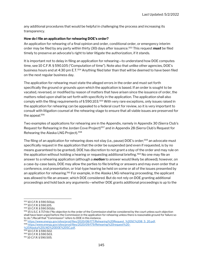any additional procedures that would be helpful in challenging the process and increasing its transparency.

# How do I file an application for rehearing DOE's order?

An application for rehearing of a final opinion and order, conditional order, or emergency interim order may be filed by any party within thirty (30) days after issuance.<sup>553</sup> This request must be filed timely to preserve an advocate's right to later litigate the authorization, if it stands.

It is important not to delay in filing an application for rehearing—to understand how DOE computes time, see 10 C.F.R. § 590.105 ("Computation of time"). Note also that unlike other agencies, DOE's business hours end at 4:30 pm E.T.<sup>554</sup> Anything filed later than that will be deemed to have been filed on the next regular business day.

The application for rehearing must state the alleged errors in the order and must set forth specifically the ground or grounds upon which the application is based. If an order is sought to be vacated, reversed, or modified by reason of matters that have arisen since the issuance of order, the matters relied upon shall be set forth with specificity in the application. The application shall also comply with the filing requirements of  $\S 590.103$ .<sup>555</sup> With very rare exceptions, only issues raised in the application for rehearing can be appealed to a federal court for review, so it is very important to consult with litigation counsel at the rehearing stage to ensure that all viable issues are preserved for the appeal.<sup>556</sup>

Two examples of applications for rehearing are in the Appendix, namely in Appendix 30 (Sierra Club's Request for Rehearing in the Jordan Cove Project)<sup>557</sup> and in Appendix 28 (Sierra Club's Request for Rehearing the Alaska LNG Project).<sup>558</sup>

The filing of an application for rehearing does not stay (i.e., pause) DOE's order;<sup>559</sup> an advocate must specifically request in the application that the order be suspended (and even if requested, is by no means guaranteed to be granted). DOE has discretion to not grant a stay of the order and may rule on the application without holding a hearing or requesting additional briefing.<sup>560</sup> No one may file an answer to a rehearing application (although a **motion** to answer would likely be allowed); however, on a case-by-case basis, DOE may allow the parties to file briefing or answers and may even order that a conference, oral presentation, or trial-type hearing be held on some or all of the issues presented by an application for rehearing.<sup>561</sup> For example, in the Alaska LNG rehearing proceeding, the applicant was allowed to file an answer, which DOE considered. But do not rely on DOE granting additional proceedings and hold back any arguments—whether DOE grants additional proceedings is up to the

<sup>553</sup> 10 C.F.R. § 590.501(a).

<sup>554</sup> 10 C.F.R. § 590.105.

<sup>555</sup> 10 C.F.R. § 590.501(b).

<sup>556 15</sup> U.S.C. § 717r(b) ("No objection to the order of the Commission shall be considered by the court unless such objection shall have been urged before the Commission in the application for rehearing unless there is reasonable ground for failure so to do.") Recall that "Commission" refers to DOE in this instance.

<sup>557</sup> https://www.energy.gov/sites/prod/files/2020/08/f77/Rehearing%20Request %20SC%208 5 20.pdf. <sup>558</sup> https://www.energy.gov/sites/prod/files/2020/09/f79/Rehearing%20request%20- %20Alaska%20LNG%20DOE%20SC.pdf.

<sup>559</sup> 10 C.F.R. § 590.502.

<sup>560</sup> 10 C.F.R. § 590.503.

<sup>561</sup> 10 C.F.R. § 590.505.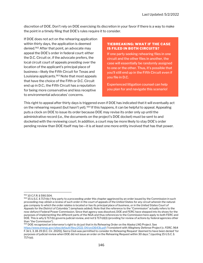discretion of DOE. Don't rely on DOE exercising its discretion in your favor if there is a way to make the point in a timely filing that DOE's rules require it to consider.

If DOE does not act on the rehearing application within thirty days, the application is deemed denied.<sup>562</sup> After that point, an advocate may appeal the DOE's order in federal court: either the D.C. Circuit or, if the advocate prefers, the local circuit court of appeals presiding over the location of the applicant's principal place of business—likely the Fifth Circuit for Texas and Louisiana applicants.<sup>563</sup> Note that most appeals that have the choice of the Fifth or D.C. Circuit end up in D.C.; the Fifth Circuit has a reputation for being more conservative and less receptive to environmental advocates' concerns.

# TIEBREAKING: WHAT IF THE CASE IS FILED IN BOTH CIRCUITS?

If one party seeking rehearing files in one circuit and the other files in another, the case will essentially be randomly assigned to one or the other. Thus, it's possible that you'll still end up in the Fifth Circuit even if you file in D.C.

Experienced litigation counsel can help you plan for and navigate this scenario!

This right to appeal after thirty days is triggered even if DOE has indicated that it will eventually act on the rehearing request (but hasn't yet).<sup>564</sup> If this happens, it can be helpful to appeal. Appealing puts a clock on DOE to issue its order because DOE may revise its order only up until the administrative record (i.e., the documents on the project's DOE docket) must be sent to and docketed with the reviewing court. In addition, a court may be more likely to stay DOE's order pending review than DOE itself may be—it is at least one more entity involved that has that power.

<sup>562</sup> 10 C.F.R. § 590.504.

<sup>563 15</sup> U.S.C. § 717r(b) ("Any party to a proceeding under this chapter aggrieved by an order issued by the Commission in such proceeding may obtain a review of such order in the court of appeals of the United States for any circuit wherein the naturalgas company to which the order relates is located or has its principal place of business, or in the United States Court of Appeals for the District of Columbia.") (emphasis added). Note that the reference to the "Commission" actually refers to the now-defunct Federal Power Commission. Since that agency was dissolved, DOE and FERC have stepped into its shoes for the purposes of implementing the different parts of the NGA and thus references to the Commission here apply to both FERC and DOE. This is why § 717r(b) governs judicial review, and not § 717r(d)(1) (providing for review of actions by federal agencies other than "the Commission").

<sup>&</sup>lt;sup>564</sup> DOE recognized an intervenor's right to do just that in its Rehearing Order on the Alaska LNG Project. See https://www.energy.gov/sites/default/files/2021-04/ord3643b.pdf ("consistent with Allegheny Defense Project [v. FERC, 964 F.3d 1, 3, 18-19 (D.C. Cir. 2020)], Sierra Club was permitted to consider its Rehearing Request 'deemed to have been denied' for purposes of judicial review when DOE did not issue an order on the Rehearing Request within 30 days.") (quoting 15 U.S.C. § 717r(a)).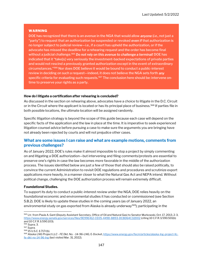### WARNING

DOE has recognized that there is an avenue in the NGA that would allow **anyone** (i.e., not just a "party") to request that an authorization be suspended or revoked even if that authorization is no longer subject to judicial review—i.e., if a court has upheld the authorization, or if the advocate has missed the deadline for a rehearing request and the order has become final without a judicial challenge.<sup>565</sup> Do not rely on this avenue to challenge a terminal! DOE has indicated that it "take[s] very seriously the investment-backed expectations of private parties and would not rescind a previously granted authorization except in the event of extraordinary circumstances."<sup>566</sup> Nor does DOE believe it would be bound to conduct a public-interest review in deciding on such a request—indeed, it does not believe the NGA sets forth *any* specific criteria for evaluating such requests.<sup>567</sup> The conclusion here should be: intervene ontime to preserve your rights as a party.

### How do I litigate a certification after rehearing is concluded?

As discussed in the section on rehearing above, advocates have a choice to litigate in the D.C. Circuit or in the Circuit where the applicant is located or has its principal place of business.<sup>568</sup> If parties file in both possible locations, the ultimate location will be assigned randomly.

Specific litigation strategy is beyond the scope of this guide because each case will depend on the specific facts of the application and the law in place at the time. It is imperative to seek experienced litigation counsel advice before pursuing a case to make sure the arguments you are bringing have not already been rejected by courts and will not prejudice other cases.

# What are some issues I can raise and what are example motions, comments from previous challenges?

As of January 2022, DOE's rules make it almost impossible to stop a project by simply commenting on and litigating a DOE authorization—but intervening and filing comments/protests are essential to preserve one's rights in case the law becomes more favorable in the middle of the authorization process. The issues identified below are just a few of those that should also be raised politically, to convince the current Administration to revisit DOE regulations and procedures and scrutinize export applications more heavily, in a manner closer to what the Natural Gas Act and NEPA intend. Without political change, challenging the DOE authorization process will remain extremely difficult.

### Foundational Studies.

To support its duty to conduct a public-interest review under the NGA, DOE relies heavily on the foundational economic and environmental studies it has conducted or commissioned (see Section 5.B.2). DOE is likely to update these studies in the coming years (as of January 2022, an environmental study on gas exported from Alaska is already underway<sup>569</sup>); participating in the

<sup>565</sup> Ltr. from Paula A. Gant (Deputy Assistant Secretary, Office of Oil and Natural Gas) to Senator Murkowski, Oct. 17, 2013, 2-3, https://www.energy.senate.gov/services/files/9E99E412-CE05-449D-8893-DC8D64C32D02 (citing 10 C.F.R. § 590.501(b) and 10 C.F.R. § 590.103).

<sup>566</sup> Supra, 3.

<sup>567</sup> Supra.

<sup>568</sup> 15 U.S.C. § 717r(b).

<sup>569</sup> Alaska LNG Project LLC - FE Dkt. No. - 14-96-LNG, E-Docket, https://www.energy.gov/fecm/articles/alaska-lng-project-llcfe-dkt-no-14-96-lng (last visited Mar. 31, 2022).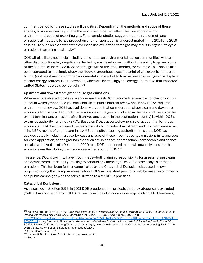comment period for these studies will be critical. Depending on the methods and scope of these studies, advocates can help shape these studies to better reflect the true economic and environmental costs of exporting gas. For example, studies suggest that the rate of methane emissions attributable to gas production and transportation is underestimated in the 2014 and 2019 studies—to such an extent that the overseas use of United States gas may result in **higher** life cycle emissions than using local coal.<sup>570</sup>

DOE will also likely need help including the effects on environmental justice communities, who are often disproportionately negatively affected by gas development without the ability to garner some of the benefits of increased trade and the growth of the stock market, for example. DOE should also be encouraged to not simply study the lifecycle greenhouse gas footprint of gas exports compared to coal (as it has done in its prior environmental studies), but to how increased use of gas can displace cleaner energy sources, like renewables, which are increasingly the energy alternative that imported United States gas would be replacing.<sup>571</sup>

### Upstream and downstream greenhouse gas emissions.

Whenever possible, advocates are encouraged to ask DOE to come to a sensible conclusion on how it should weigh greenhouse gas emissions in its public interest review and in any NEPA-required environmental review. DOE has traditionally argued that consideration of upstream and downstream emissions from export terminals (i.e., emissions as the gas is produced in the field and travels to the export terminal and emissions after it arrives and is used in the destination country) is within DOE's exclusive authority—and not FERC's. Based on DOE's asserted ownership of accounting for these emissions, FERC has disclaimed the responsibility to consider downstream and upstream emissions in its NEPA review of export terminals.<sup>572</sup> But despite asserting authority in this area, DOE has avoided actually including a case-by-case analyses of these greenhouse gas emissions in its analyses for each application, on the grounds that such emissions are not reasonably foreseeable and cannot be calculated. And as of a December 2020 rule, DOE announced that it will now only consider the emissions emitted during the marine vessel transport of LNG.<sup>573</sup>

In essence, DOE is trying to have it both ways—both claiming responsibility for assessing upstream and downstream emissions yet failing to conduct any meaningful case-by-case analysis of those emissions. This has been further complicated by the Categorical Exclusion (discussed below) proposed during the Trump Administration. DOE's inconsistent position could be raised in comments and public campaigns with the administration to alter DOE's practices.

# Categorical Exclusions.

As discussed in Section 5.B.3, in 2021 DOE broadened the projects that are categorically excluded (CatEx'd, in shorthand) from NEPA review to include all marine vessel exports from LNG terminals,

<sup>570</sup> Sabin Center for Climate Change Law, DOE's Proposed Revisions to its National Environmental Policy Act Implementing Procedures Regarding Natural Gas Exports, Docket ID DOE-HQ-2020-0017, June 1, 2020, 7-8, https://climate.law.columbia.edu/sites/default/files/content/%5BFINAL%5D%20DOE%20Comment%20Letter%20%5B6-1-

<sup>20%5</sup>D.pdf (citing Ramon A. Alvarez et al., Assessment of Methane Emissions from the U.S. Oil and Gas Supply Chain, 361 SCIENCE 186 (2018) and Yuzhong Zhang et al., Quantifying Methane Emissions from the Largest Oil-Producing Basin in the United States from Space, 6 Science Advances 1 (2020)).

<sup>571</sup> Sabin Center, supra, 8-9.

<sup>572</sup> Giannetti, Hot Potato on LNG Emissions, supra note 143.

<sup>573</sup> Supra.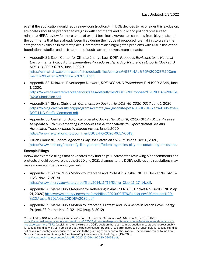even if the application would require new construction.<sup>574</sup> If DOE decides to reconsider this exclusion, advocates should be prepared to weigh in with comments and public and political pressure to reinstate NEPA review for more types of export terminals. Advocates can draw from blog posts and the comments that have already been filed during the notice of proposed rulemaking to create the categorical exclusion in the first place. Commentors also highlighted problems with DOE's use of the foundational studies and its treatment of upstream and downstream impacts:

- Appendix 32: Sabin Center for Climate Change Law, DOE's Proposed Revisions to its National Environmental Policy Act Implementing Procedures Regarding Natural Gas Exports (Docket ID DOE-HQ-2020-0017), June 1, 2020, https://climate.law.columbia.edu/sites/default/files/content/%5BFINAL%5D%20DOE%20Com ment%20Letter%20%5B6-1-20%5D.pdf.
- Appendix 33: Delaware Riverkeeper Network, DOE NEPA/NG Procedures, RIN 1990-AA49, June 1, 2020, https://www.delawareriverkeeper.org/sites/default/files/DOE%20Proposed%20NEPA%20Rule %20Submission.pdf.
- Appendix 34: Sierra Club, et al., Comments on Docket No. DOE-HQ-2020-0017, June 1, 2020, https://biologicaldiversity.org/programs/climate\_law\_institute/pdfs/20-06-01-Sierra-Club-et-all-DOE-LNG-CatEx-Comment.pdf.
- Appendix 35: Center for Biological Diversity, Docket No. DOE-HQ-2020-0017 DOE's Proposal to Update NEPA Implementing Procedures for Authorizations to Export Natural Gas and Associated Transportation by Marine Vessel, June 1, 2020, https://www.regulations.gov/comment/DOE-HQ-2020-0017-0019.
- Gillian Giannetti, Federal Agencies Play Hot Potato on LNG Emissions, Dec. 8, 2020, https://www.nrdc.org/experts/gillian-giannetti/federal-agencies-play-hot-potato-lng-emissions.

# Example Filings.

Below are example filings that advocates may find helpful. Advocates reviewing older comments and protests should be aware that the 2020 and 2021 changes to the DOE's policies and regulations may make some arguments no longer valid.

- Appendix 27: Sierra Club's Motion to Intervene and Protest in Alaska LNG. FE Docket No. 14-96- LNG (Nov. 17, 2014) https://www.energy.gov/sites/prod/files/2014/11/f19/Sierra\_Club\_11\_17\_14.pdf.
- Appendix 28: Sierra Club's Request for Rehearing in Alaska LNG. FE Docket No. 14-96-LNG (Sep. 21, 2020) https://www.energy.gov/sites/prod/files/2020/09/f79/Rehearing%20request%20- %20Alaska%20LNG%20DOE%20SC.pdf.
- Appendix 29: Sierra Club's Motion to Intervene, Protest, and Comments in Jordan Cove Energy Project. FE Docket No. 12-32-LNG (Aug. 6, 2012)

<sup>574</sup> Bud Earley, DOE Rule Sharply Limits Evaluation of Environmental Impacts of LNG Exports, Dec. 10, 2020, https://www.insideenergyandenvironment.com/2020/12/doe-rule-sharply-limits-evaluation-of-environmental-impacts-oflng-exports/#more-7372. (explaining the new rule and DOE's position that upstream production impacts are not reasonably foreseeable and downstream emissions at the point of consumption are "too attenuated to be reasonably foreseeable and do not have a reasonably close causal relationship to the granting of an export authorization") The final rule can be found here: National Environmental Policy Act Implementing Procedures, 88 Fed. Reg. 78,197-205, https://www.govinfo.gov/content/pkg/FR-2020-12-04/pdf/2020-26459.pdf.